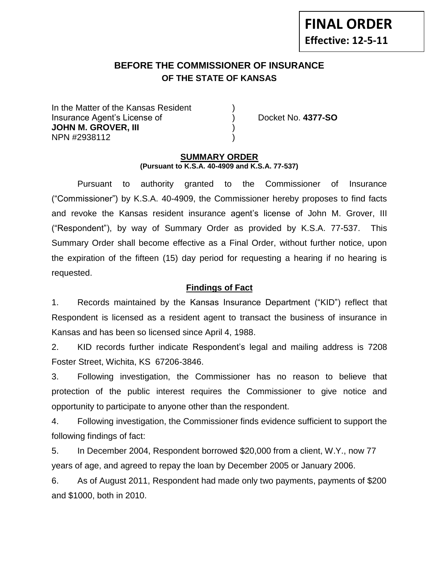# **BEFORE THE COMMISSIONER OF INSURANCE OF THE STATE OF KANSAS**

In the Matter of the Kansas Resident Insurance Agent's License of ) Docket No. **4377-SO JOHN M. GROVER, III** ) NPN #2938112 )

### **SUMMARY ORDER (Pursuant to K.S.A. 40-4909 and K.S.A. 77-537)**

Pursuant to authority granted to the Commissioner of Insurance ("Commissioner") by K.S.A. 40-4909, the Commissioner hereby proposes to find facts and revoke the Kansas resident insurance agent's license of John M. Grover, III ("Respondent"), by way of Summary Order as provided by K.S.A. 77-537. This Summary Order shall become effective as a Final Order, without further notice, upon the expiration of the fifteen (15) day period for requesting a hearing if no hearing is requested.

## **Findings of Fact**

1. Records maintained by the Kansas Insurance Department ("KID") reflect that Respondent is licensed as a resident agent to transact the business of insurance in Kansas and has been so licensed since April 4, 1988.

2. KID records further indicate Respondent's legal and mailing address is 7208 Foster Street, Wichita, KS 67206-3846.

3. Following investigation, the Commissioner has no reason to believe that protection of the public interest requires the Commissioner to give notice and opportunity to participate to anyone other than the respondent.

4. Following investigation, the Commissioner finds evidence sufficient to support the following findings of fact:

5. In December 2004, Respondent borrowed \$20,000 from a client, W.Y., now 77 years of age, and agreed to repay the loan by December 2005 or January 2006.

6. As of August 2011, Respondent had made only two payments, payments of \$200 and \$1000, both in 2010.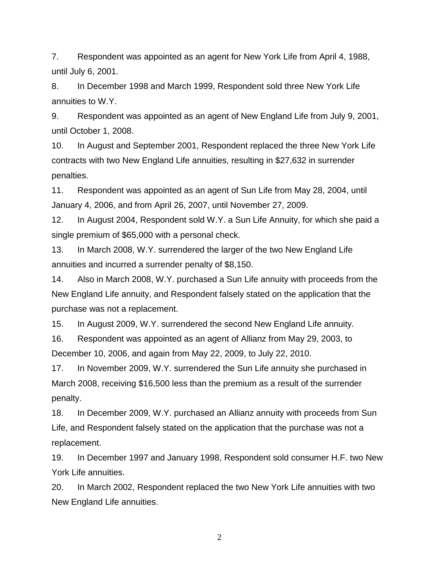7. Respondent was appointed as an agent for New York Life from April 4, 1988, until July 6, 2001.

8. In December 1998 and March 1999, Respondent sold three New York Life annuities to W.Y.

9. Respondent was appointed as an agent of New England Life from July 9, 2001, until October 1, 2008.

10. In August and September 2001, Respondent replaced the three New York Life contracts with two New England Life annuities, resulting in \$27,632 in surrender penalties.

11. Respondent was appointed as an agent of Sun Life from May 28, 2004, until January 4, 2006, and from April 26, 2007, until November 27, 2009.

12. In August 2004, Respondent sold W.Y. a Sun Life Annuity, for which she paid a single premium of \$65,000 with a personal check.

13. In March 2008, W.Y. surrendered the larger of the two New England Life annuities and incurred a surrender penalty of \$8,150.

14. Also in March 2008, W.Y. purchased a Sun Life annuity with proceeds from the New England Life annuity, and Respondent falsely stated on the application that the purchase was not a replacement.

15. In August 2009, W.Y. surrendered the second New England Life annuity.

16. Respondent was appointed as an agent of Allianz from May 29, 2003, to December 10, 2006, and again from May 22, 2009, to July 22, 2010.

17. In November 2009, W.Y. surrendered the Sun Life annuity she purchased in March 2008, receiving \$16,500 less than the premium as a result of the surrender penalty.

18. In December 2009, W.Y. purchased an Allianz annuity with proceeds from Sun Life, and Respondent falsely stated on the application that the purchase was not a replacement.

19. In December 1997 and January 1998, Respondent sold consumer H.F. two New York Life annuities.

20. In March 2002, Respondent replaced the two New York Life annuities with two New England Life annuities.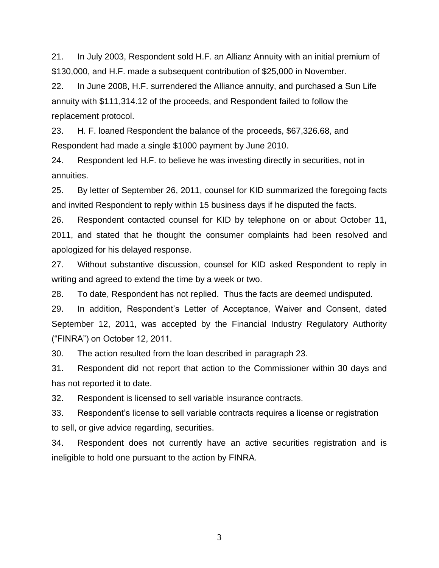21. In July 2003, Respondent sold H.F. an Allianz Annuity with an initial premium of \$130,000, and H.F. made a subsequent contribution of \$25,000 in November.

22. In June 2008, H.F. surrendered the Alliance annuity, and purchased a Sun Life annuity with \$111,314.12 of the proceeds, and Respondent failed to follow the replacement protocol.

23. H. F. loaned Respondent the balance of the proceeds, \$67,326.68, and Respondent had made a single \$1000 payment by June 2010.

24. Respondent led H.F. to believe he was investing directly in securities, not in annuities.

25. By letter of September 26, 2011, counsel for KID summarized the foregoing facts and invited Respondent to reply within 15 business days if he disputed the facts.

26. Respondent contacted counsel for KID by telephone on or about October 11, 2011, and stated that he thought the consumer complaints had been resolved and apologized for his delayed response.

27. Without substantive discussion, counsel for KID asked Respondent to reply in writing and agreed to extend the time by a week or two.

28. To date, Respondent has not replied. Thus the facts are deemed undisputed.

29. In addition, Respondent's Letter of Acceptance, Waiver and Consent, dated September 12, 2011, was accepted by the Financial Industry Regulatory Authority ("FINRA") on October 12, 2011.

30. The action resulted from the loan described in paragraph 23.

31. Respondent did not report that action to the Commissioner within 30 days and has not reported it to date.

32. Respondent is licensed to sell variable insurance contracts.

33. Respondent's license to sell variable contracts requires a license or registration to sell, or give advice regarding, securities.

34. Respondent does not currently have an active securities registration and is ineligible to hold one pursuant to the action by FINRA.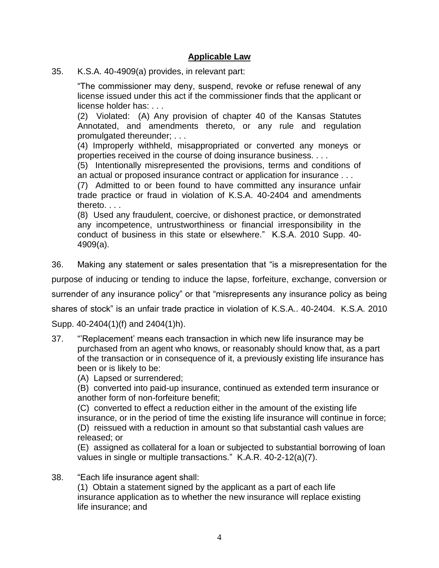## **Applicable Law**

35. K.S.A. 40-4909(a) provides, in relevant part:

"The commissioner may deny, suspend, revoke or refuse renewal of any license issued under this act if the commissioner finds that the applicant or license holder has: . . .

(2) Violated: (A) Any provision of chapter 40 of the Kansas Statutes Annotated, and amendments thereto, or any rule and regulation promulgated thereunder; . . .

(4) Improperly withheld, misappropriated or converted any moneys or properties received in the course of doing insurance business. . . .

(5) Intentionally misrepresented the provisions, terms and conditions of an actual or proposed insurance contract or application for insurance . . .

(7) Admitted to or been found to have committed any insurance unfair trade practice or fraud in violation of K.S.A. 40-2404 and amendments thereto. . . .

(8) Used any fraudulent, coercive, or dishonest practice, or demonstrated any incompetence, untrustworthiness or financial irresponsibility in the conduct of business in this state or elsewhere." K.S.A. 2010 Supp. 40- 4909(a).

36. Making any statement or sales presentation that "is a misrepresentation for the

purpose of inducing or tending to induce the lapse, forfeiture, exchange, conversion or

surrender of any insurance policy" or that "misrepresents any insurance policy as being

shares of stock" is an unfair trade practice in violation of K.S.A.. 40-2404. K.S.A. 2010

Supp. 40-2404(1)(f) and 2404(1)h).

- 37. "'Replacement' means each transaction in which new life insurance may be purchased from an agent who knows, or reasonably should know that, as a part of the transaction or in consequence of it, a previously existing life insurance has been or is likely to be:
	- (A) Lapsed or surrendered;

(B) converted into paid-up insurance, continued as extended term insurance or another form of non-forfeiture benefit;

(C) converted to effect a reduction either in the amount of the existing life insurance, or in the period of time the existing life insurance will continue in force; (D) reissued with a reduction in amount so that substantial cash values are released; or

(E) assigned as collateral for a loan or subjected to substantial borrowing of loan values in single or multiple transactions." K.A.R. 40-2-12(a)(7).

38. "Each life insurance agent shall:

(1) Obtain a statement signed by the applicant as a part of each life insurance application as to whether the new insurance will replace existing life insurance; and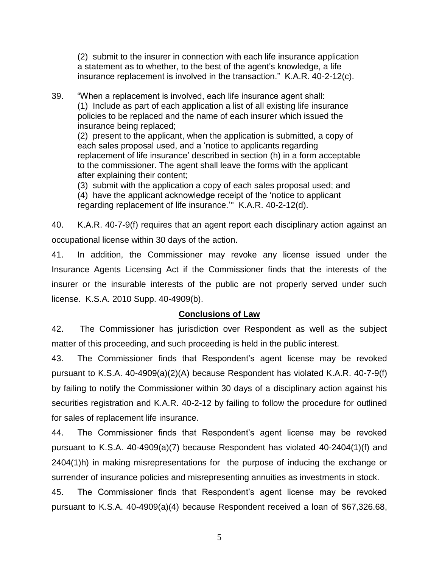(2) submit to the insurer in connection with each life insurance application a statement as to whether, to the best of the agent's knowledge, a life insurance replacement is involved in the transaction." K.A.R. 40-2-12(c).

39. "When a replacement is involved, each life insurance agent shall: (1) Include as part of each application a list of all existing life insurance policies to be replaced and the name of each insurer which issued the insurance being replaced;

(2) present to the applicant, when the application is submitted, a copy of each sales proposal used, and a 'notice to applicants regarding replacement of life insurance' described in section (h) in a form acceptable to the commissioner. The agent shall leave the forms with the applicant after explaining their content;

(3) submit with the application a copy of each sales proposal used; and (4) have the applicant acknowledge receipt of the 'notice to applicant regarding replacement of life insurance.''' K.A.R. 40-2-12(d).

40. K.A.R. 40-7-9(f) requires that an agent report each disciplinary action against an occupational license within 30 days of the action.

41. In addition, the Commissioner may revoke any license issued under the Insurance Agents Licensing Act if the Commissioner finds that the interests of the insurer or the insurable interests of the public are not properly served under such license. K.S.A. 2010 Supp. 40-4909(b).

## **Conclusions of Law**

42. The Commissioner has jurisdiction over Respondent as well as the subject matter of this proceeding, and such proceeding is held in the public interest.

43. The Commissioner finds that Respondent's agent license may be revoked pursuant to K.S.A. 40-4909(a)(2)(A) because Respondent has violated K.A.R. 40-7-9(f) by failing to notify the Commissioner within 30 days of a disciplinary action against his securities registration and K.A.R. 40-2-12 by failing to follow the procedure for outlined for sales of replacement life insurance.

44. The Commissioner finds that Respondent's agent license may be revoked pursuant to K.S.A. 40-4909(a)(7) because Respondent has violated 40-2404(1)(f) and 2404(1)h) in making misrepresentations for the purpose of inducing the exchange or surrender of insurance policies and misrepresenting annuities as investments in stock.

45. The Commissioner finds that Respondent's agent license may be revoked pursuant to K.S.A. 40-4909(a)(4) because Respondent received a loan of \$67,326.68,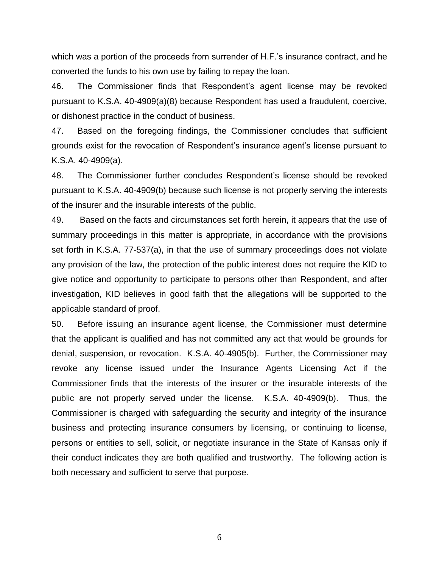which was a portion of the proceeds from surrender of H.F.'s insurance contract, and he converted the funds to his own use by failing to repay the loan.

46. The Commissioner finds that Respondent's agent license may be revoked pursuant to K.S.A. 40-4909(a)(8) because Respondent has used a fraudulent, coercive, or dishonest practice in the conduct of business.

47. Based on the foregoing findings, the Commissioner concludes that sufficient grounds exist for the revocation of Respondent's insurance agent's license pursuant to K.S.A. 40-4909(a).

48. The Commissioner further concludes Respondent's license should be revoked pursuant to K.S.A. 40-4909(b) because such license is not properly serving the interests of the insurer and the insurable interests of the public.

49. Based on the facts and circumstances set forth herein, it appears that the use of summary proceedings in this matter is appropriate, in accordance with the provisions set forth in K.S.A. 77-537(a), in that the use of summary proceedings does not violate any provision of the law, the protection of the public interest does not require the KID to give notice and opportunity to participate to persons other than Respondent, and after investigation, KID believes in good faith that the allegations will be supported to the applicable standard of proof.

50. Before issuing an insurance agent license, the Commissioner must determine that the applicant is qualified and has not committed any act that would be grounds for denial, suspension, or revocation. K.S.A. 40-4905(b). Further, the Commissioner may revoke any license issued under the Insurance Agents Licensing Act if the Commissioner finds that the interests of the insurer or the insurable interests of the public are not properly served under the license. K.S.A. 40-4909(b). Thus, the Commissioner is charged with safeguarding the security and integrity of the insurance business and protecting insurance consumers by licensing, or continuing to license, persons or entities to sell, solicit, or negotiate insurance in the State of Kansas only if their conduct indicates they are both qualified and trustworthy. The following action is both necessary and sufficient to serve that purpose.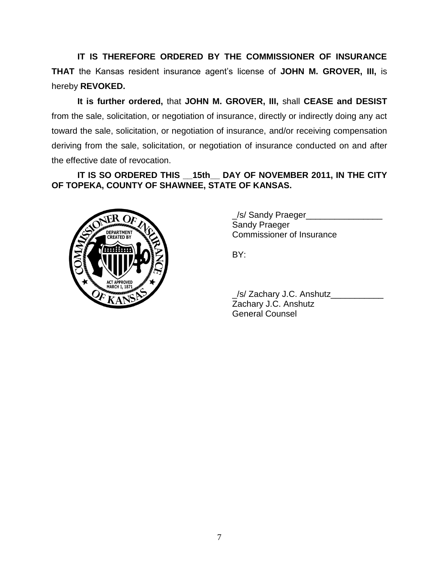**IT IS THEREFORE ORDERED BY THE COMMISSIONER OF INSURANCE THAT** the Kansas resident insurance agent's license of **JOHN M. GROVER, III,** is hereby **REVOKED.** 

**It is further ordered,** that **JOHN M. GROVER, III,** shall **CEASE and DESIST** from the sale, solicitation, or negotiation of insurance, directly or indirectly doing any act toward the sale, solicitation, or negotiation of insurance, and/or receiving compensation deriving from the sale, solicitation, or negotiation of insurance conducted on and after the effective date of revocation.

# **IT IS SO ORDERED THIS \_\_15th\_\_ DAY OF NOVEMBER 2011, IN THE CITY OF TOPEKA, COUNTY OF SHAWNEE, STATE OF KANSAS.**



\_/s/ Sandy Praeger\_\_\_\_\_\_\_\_\_\_\_\_\_\_\_\_ Sandy Praeger Commissioner of Insurance

BY:

\_/s/ Zachary J.C. Anshutz\_\_\_\_\_\_\_\_\_\_\_ Zachary J.C. Anshutz General Counsel